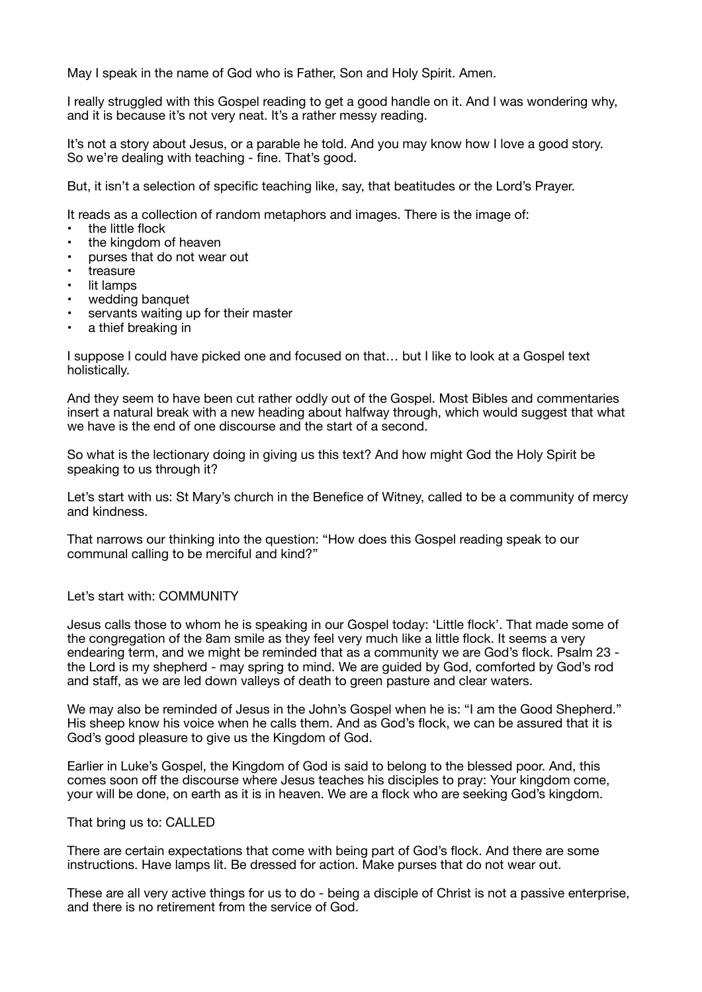May I speak in the name of God who is Father, Son and Holy Spirit. Amen.

I really struggled with this Gospel reading to get a good handle on it. And I was wondering why, and it is because it's not very neat. It's a rather messy reading.

It's not a story about Jesus, or a parable he told. And you may know how I love a good story. So we're dealing with teaching - fine. That's good.

But, it isn't a selection of specific teaching like, say, that beatitudes or the Lord's Prayer.

It reads as a collection of random metaphors and images. There is the image of:

- the little flock
- the kingdom of heaven
- purses that do not wear out
- **treasure**
- lit lamps
- wedding banquet
- servants waiting up for their master
- a thief breaking in

I suppose I could have picked one and focused on that… but I like to look at a Gospel text holistically.

And they seem to have been cut rather oddly out of the Gospel. Most Bibles and commentaries insert a natural break with a new heading about halfway through, which would suggest that what we have is the end of one discourse and the start of a second.

So what is the lectionary doing in giving us this text? And how might God the Holy Spirit be speaking to us through it?

Let's start with us: St Mary's church in the Benefice of Witney, called to be a community of mercy and kindness.

That narrows our thinking into the question: "How does this Gospel reading speak to our communal calling to be merciful and kind?"

## Let's start with: COMMUNITY

Jesus calls those to whom he is speaking in our Gospel today: 'Little flock'. That made some of the congregation of the 8am smile as they feel very much like a little flock. It seems a very endearing term, and we might be reminded that as a community we are God's flock. Psalm 23 the Lord is my shepherd - may spring to mind. We are guided by God, comforted by God's rod and staff, as we are led down valleys of death to green pasture and clear waters.

We may also be reminded of Jesus in the John's Gospel when he is: "I am the Good Shepherd." His sheep know his voice when he calls them. And as God's flock, we can be assured that it is God's good pleasure to give us the Kingdom of God.

Earlier in Luke's Gospel, the Kingdom of God is said to belong to the blessed poor. And, this comes soon off the discourse where Jesus teaches his disciples to pray: Your kingdom come, your will be done, on earth as it is in heaven. We are a flock who are seeking God's kingdom.

## That bring us to: CALLED

There are certain expectations that come with being part of God's flock. And there are some instructions. Have lamps lit. Be dressed for action. Make purses that do not wear out.

These are all very active things for us to do - being a disciple of Christ is not a passive enterprise, and there is no retirement from the service of God.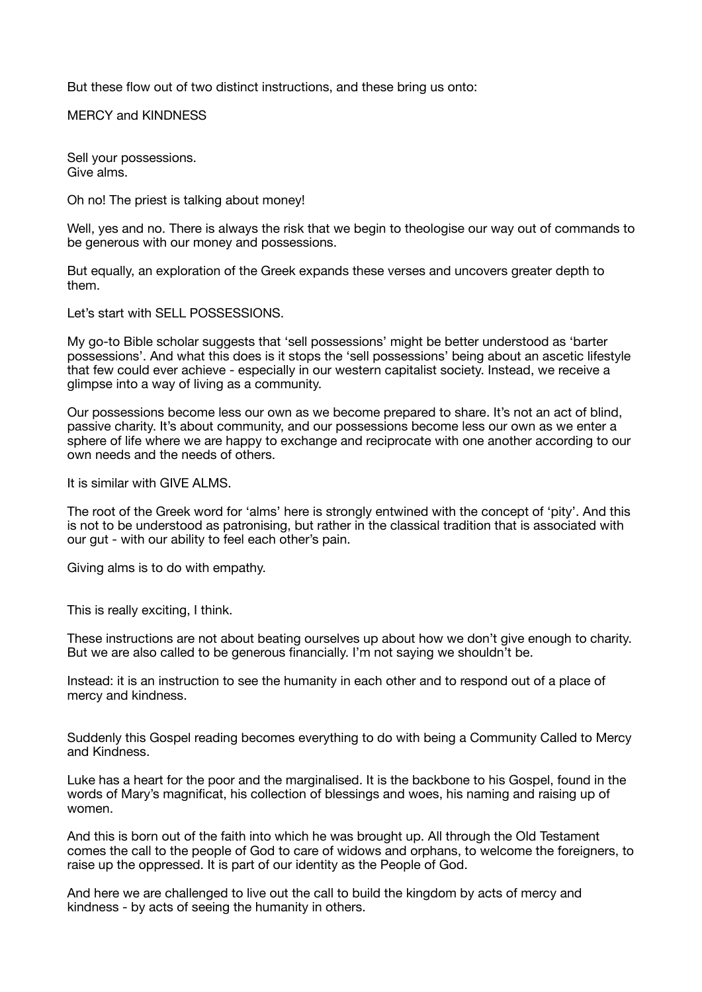But these flow out of two distinct instructions, and these bring us onto:

MERCY and KINDNESS

Sell your possessions. Give alms.

Oh no! The priest is talking about money!

Well, yes and no. There is always the risk that we begin to theologise our way out of commands to be generous with our money and possessions.

But equally, an exploration of the Greek expands these verses and uncovers greater depth to them.

Let's start with SELL POSSESSIONS.

My go-to Bible scholar suggests that 'sell possessions' might be better understood as 'barter possessions'. And what this does is it stops the 'sell possessions' being about an ascetic lifestyle that few could ever achieve - especially in our western capitalist society. Instead, we receive a glimpse into a way of living as a community.

Our possessions become less our own as we become prepared to share. It's not an act of blind, passive charity. It's about community, and our possessions become less our own as we enter a sphere of life where we are happy to exchange and reciprocate with one another according to our own needs and the needs of others.

It is similar with GIVE ALMS.

The root of the Greek word for 'alms' here is strongly entwined with the concept of 'pity'. And this is not to be understood as patronising, but rather in the classical tradition that is associated with our gut - with our ability to feel each other's pain.

Giving alms is to do with empathy.

This is really exciting, I think.

These instructions are not about beating ourselves up about how we don't give enough to charity. But we are also called to be generous financially. I'm not saying we shouldn't be.

Instead: it is an instruction to see the humanity in each other and to respond out of a place of mercy and kindness.

Suddenly this Gospel reading becomes everything to do with being a Community Called to Mercy and Kindness.

Luke has a heart for the poor and the marginalised. It is the backbone to his Gospel, found in the words of Mary's magnificat, his collection of blessings and woes, his naming and raising up of women.

And this is born out of the faith into which he was brought up. All through the Old Testament comes the call to the people of God to care of widows and orphans, to welcome the foreigners, to raise up the oppressed. It is part of our identity as the People of God.

And here we are challenged to live out the call to build the kingdom by acts of mercy and kindness - by acts of seeing the humanity in others.